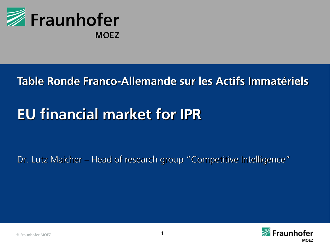

# **Table Ronde Franco-Allemande sur les Actifs Immatériels**

# **EU financial market for IPR**

#### Dr. Lutz Maicher – Head of research group "Competitive Intelligence"

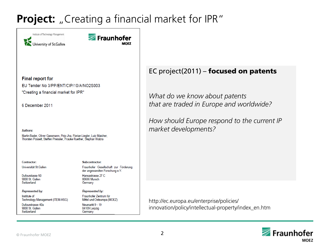#### **Project:** "Creating a financial market for IPR"

Institute of Technology Management University of St.Gallen



#### **Final report for**

EU Tender No 3/PP/ENT/CIP/10/A/NO2S003

"Creating a financial market for IPR"

6 December 2011

**Authors:** 

Martin Bader, Oliver Gassmann, Pirjo Jha, Florian Liegler, Lutz Maicher, Thorsten Posselt, Steffen Preissler, Frauke Ruether, Stephan Wabra

Contractor: Universität St.Gallen

Dufourstasse 50 9000 St. Gallen Switzerland

**Represented by:** 

Institute of Technology Management (ITEM-HSG)

Dufourstrasse 40a 9000 St. Gallen Switzerland

Subcontractor: Fraunhofer Gesellschaft zur Förderung der angewandten Forschung e.V. Hansastrasse 27 C 80686 Munich

Represented by:

Fraunhofer Zentrum für Mittel und Osteuropa (MOEZ)

Neumarkt 9 - 19 04109 Leipzig Germany

Germany

#### EC project(2011) – focused on patents

*What do we know about patents that are traded in Europe and worldwide?* 

*How should Europe respond to the current IP market developments?*

http://ec.europa.eu/enterprise/policies/ innovation/policy/intellectual-property/index\_en.htm

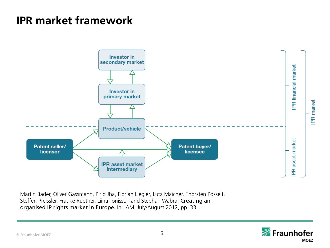### **IPR market framework**



Martin Bader, Oliver Gassmann, Pirjo Jha, Florian Liegler, Lutz Maicher, Thorsten Posselt, Steffen Preissler, Frauke Ruether, Liina Tonisson and Stephan Wabra: Creating an organised IP rights market in Europe. In: IAM, July/August 2012, pp. 33

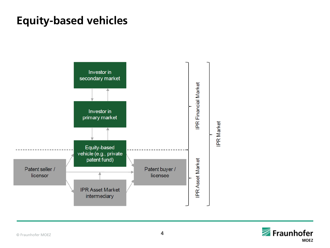### **Equity-based vehicles**



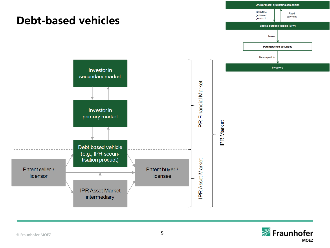

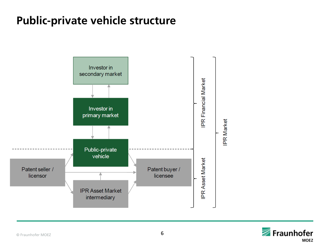# **Public-private vehicle structure**



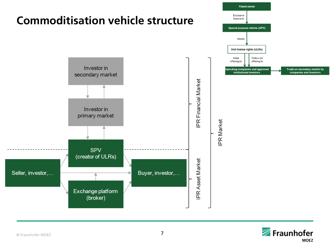

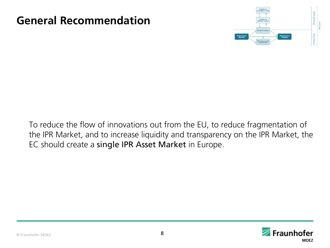### **General Recommendation**



To reduce the flow of innovations out from the EU, to reduce fragmentation of the IPR Market, and to increase liquidity and transparency on the IPR Market, the EC should create a single IPR Asset Market in Europe.

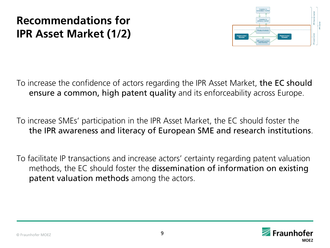# **Recommendations for IPR Asset Market (1/2)**



To increase the confidence of actors regarding the IPR Asset Market, the EC should ensure a common, high patent quality and its enforceability across Europe.

To increase SMEs' participation in the IPR Asset Market, the EC should foster the the IPR awareness and literacy of European SME and research institutions.

To facilitate IP transactions and increase actors' certainty regarding patent valuation methods, the EC should foster the dissemination of information on existing patent valuation methods among the actors.

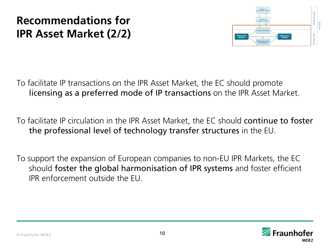# **Recommendations for IPR Asset Market (2/2)**



To facilitate IP transactions on the IPR Asset Market, the EC should promote licensing as a preferred mode of IP transactions on the IPR Asset Market.

To facilitate IP circulation in the IPR Asset Market, the EC should continue to foster the professional level of technology transfer structures in the EU.

To support the expansion of European companies to non-EU IPR Markets, the EC should foster the global harmonisation of IPR systems and foster efficient IPR enforcement outside the EU.

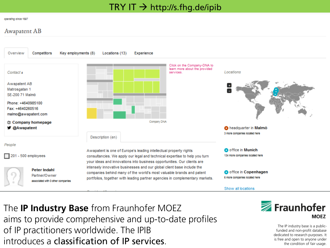#### $TRY$  IT  $\rightarrow$  http://s.fhg.de/ipib

#### operating since 1897

#### **Awapatent AB**



of IP practitioners worldwide. The IPIB The **IP Industry Base** from Fraunhofer MOEZ aims to provide comprehensive and up-to-date profiles introduces a classification of IP services.



The IP industry base is a publicfunded and non-profit database dedicated to research purposes. It is free and open to anyone under the condition of fair usage.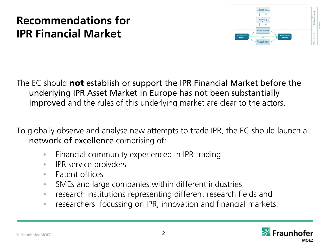# **Recommendations for IPR Financial Market**



The EC should **not** establish or support the IPR Financial Market before the underlying IPR Asset Market in Europe has not been substantially improved and the rules of this underlying market are clear to the actors.

To globally observe and analyse new attempts to trade IPR, the EC should launch a network of excellence comprising of:

- Financial community experienced in IPR trading
- IPR service proivders
- Patent offices
- SMEs and large companies within different industries
- research institutions representing different research fields and
- researchers focussing on IPR, innovation and financial markets.

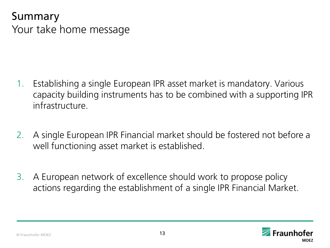### Summary Your take home message

- 1. Establishing a single European IPR asset market is mandatory. Various capacity building instruments has to be combined with a supporting IPR infrastructure.
- 2. A single European IPR Financial market should be fostered not before a well functioning asset market is established.
- 3. A European network of excellence should work to propose policy actions regarding the establishment of a single IPR Financial Market.